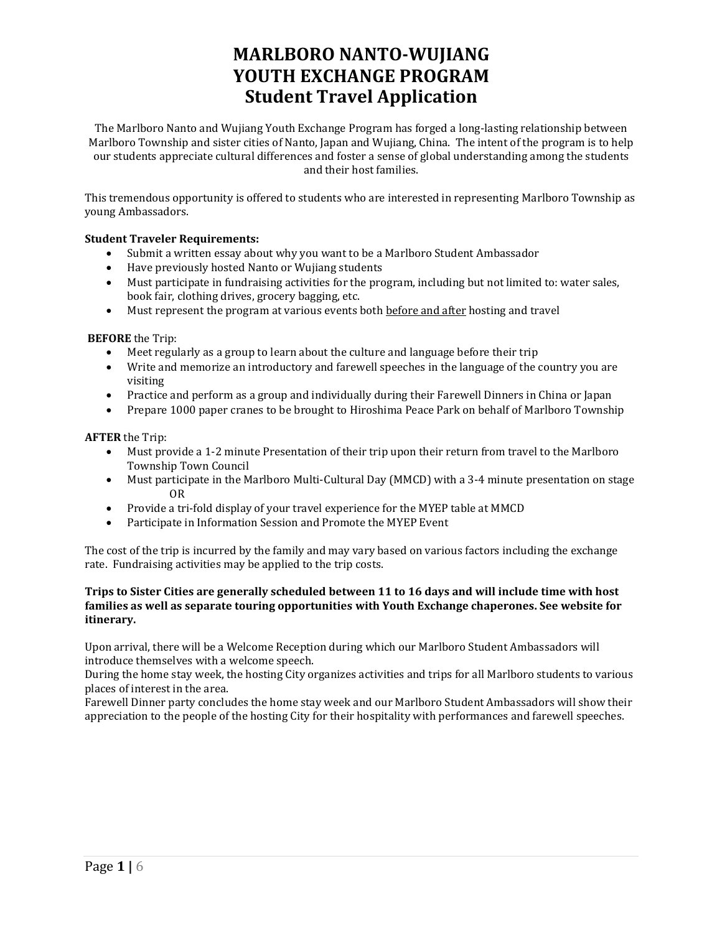# **MARLBORO NANTO-WUJIANG YOUTH EXCHANGE PROGRAM Student Travel Application**

The Marlboro Nanto and Wujiang Youth Exchange Program has forged a long-lasting relationship between Marlboro Township and sister cities of Nanto, Japan and Wujiang, China. The intent of the program is to help our students appreciate cultural differences and foster a sense of global understanding among the students and their host families.

This tremendous opportunity is offered to students who are interested in representing Marlboro Township as young Ambassadors.

# **Student Traveler Requirements:**

- Submit a written essay about why you want to be a Marlboro Student Ambassador
- Have previously hosted Nanto or Wujiang students
- Must participate in fundraising activities for the program, including but not limited to: water sales, book fair, clothing drives, grocery bagging, etc.
- Must represent the program at various events both before and after hosting and travel

# **BEFORE** the Trip:

- Meet regularly as a group to learn about the culture and language before their trip
- Write and memorize an introductory and farewell speeches in the language of the country you are visiting
- Practice and perform as a group and individually during their Farewell Dinners in China or Japan
- Prepare 1000 paper cranes to be brought to Hiroshima Peace Park on behalf of Marlboro Township

# **AFTER** the Trip:

- Must provide a 1-2 minute Presentation of their trip upon their return from travel to the Marlboro Township Town Council
- Must participate in the Marlboro Multi-Cultural Day (MMCD) with a 3-4 minute presentation on stage OR
- Provide a tri-fold display of your travel experience for the MYEP table at MMCD
- Participate in Information Session and Promote the MYEP Event

The cost of the trip is incurred by the family and may vary based on various factors including the exchange rate. Fundraising activities may be applied to the trip costs.

# **Trips to Sister Cities are generally scheduled between 11 to 16 days and will include time with host families as well as separate touring opportunities with Youth Exchange chaperones. See website for itinerary.**

Upon arrival, there will be a Welcome Reception during which our Marlboro Student Ambassadors will introduce themselves with a welcome speech.

During the home stay week, the hosting City organizes activities and trips for all Marlboro students to various places of interest in the area.

Farewell Dinner party concludes the home stay week and our Marlboro Student Ambassadors will show their appreciation to the people of the hosting City for their hospitality with performances and farewell speeches.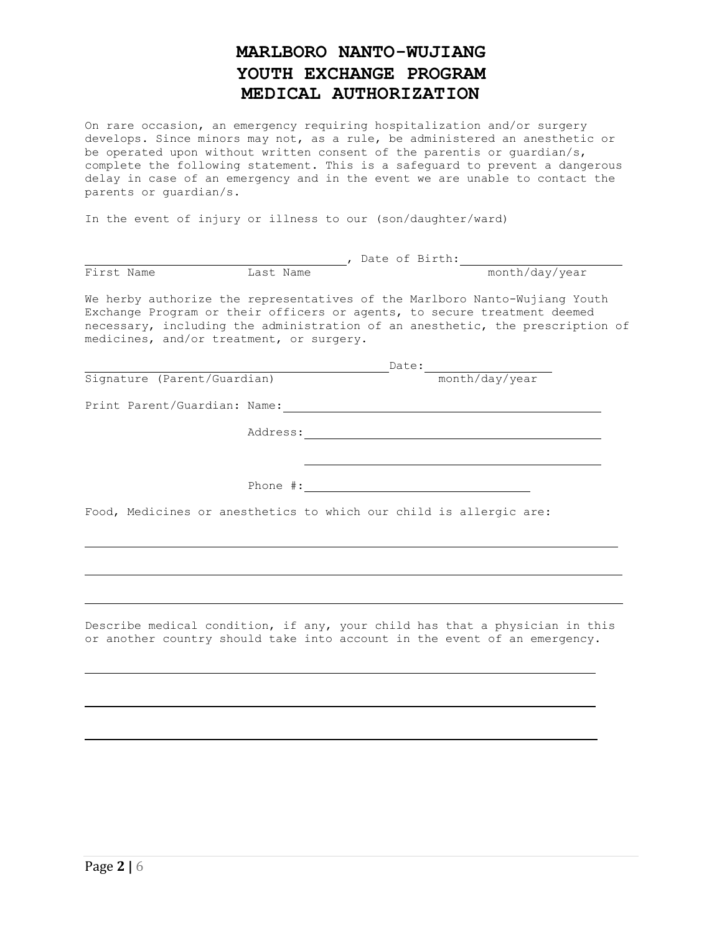# **MARLBORO NANTO-WUJIANG YOUTH EXCHANGE PROGRAM MEDICAL AUTHORIZATION**

On rare occasion, an emergency requiring hospitalization and/or surgery develops. Since minors may not, as a rule, be administered an anesthetic or be operated upon without written consent of the parentis or guardian/s, complete the following statement. This is a safeguard to prevent a dangerous delay in case of an emergency and in the event we are unable to contact the parents or guardian/s.

In the event of injury or illness to our (son/daughter/ward)

| First Name                                                                                                                                                                                         | Last Name |                                                                                                                                                                                                                                                                                                                                                                                                                           | pate of Birth: month/day/year                                                 |
|----------------------------------------------------------------------------------------------------------------------------------------------------------------------------------------------------|-----------|---------------------------------------------------------------------------------------------------------------------------------------------------------------------------------------------------------------------------------------------------------------------------------------------------------------------------------------------------------------------------------------------------------------------------|-------------------------------------------------------------------------------|
| We herby authorize the representatives of the Marlboro Nanto-Wujiang Youth<br>Exchange Program or their officers or agents, to secure treatment deemed<br>medicines, and/or treatment, or surgery. |           |                                                                                                                                                                                                                                                                                                                                                                                                                           | necessary, including the administration of an anesthetic, the prescription of |
|                                                                                                                                                                                                    |           |                                                                                                                                                                                                                                                                                                                                                                                                                           |                                                                               |
| Signature (Parent/Guardian)                                                                                                                                                                        |           | ${\small \texttt{Date:}\footnotesize \hspace*{2.5cm} \begin{picture}(10,10) \put(0,0){\dashbox{0.5}(10,0){ }} \put(15,0){\dashbox{0.5}(10,0){ }} \thicklines \put(15,0){\dashbox{0.5}(10,0){ }} \thicklines \put(15,0){\dashbox{0.5}(10,0){ }} \thicklines \put(15,0){\dashbox{0.5}(10,0){ }} \thicklines \put(15,0){\dashbox{0.5}(10,0){ }} \thicklines \put(15,0){\dashbox{0.5}(10,0){ }} \thicklines \put(15,0){\dash$ |                                                                               |
|                                                                                                                                                                                                    |           |                                                                                                                                                                                                                                                                                                                                                                                                                           |                                                                               |
|                                                                                                                                                                                                    |           |                                                                                                                                                                                                                                                                                                                                                                                                                           |                                                                               |
|                                                                                                                                                                                                    |           |                                                                                                                                                                                                                                                                                                                                                                                                                           |                                                                               |
|                                                                                                                                                                                                    |           | Phone $\#$ :                                                                                                                                                                                                                                                                                                                                                                                                              |                                                                               |
| Food, Medicines or anesthetics to which our child is allergic are:                                                                                                                                 |           |                                                                                                                                                                                                                                                                                                                                                                                                                           |                                                                               |
|                                                                                                                                                                                                    |           |                                                                                                                                                                                                                                                                                                                                                                                                                           |                                                                               |
|                                                                                                                                                                                                    |           |                                                                                                                                                                                                                                                                                                                                                                                                                           |                                                                               |
| or another country should take into account in the event of an emergency.                                                                                                                          |           |                                                                                                                                                                                                                                                                                                                                                                                                                           | Describe medical condition, if any, your child has that a physician in this   |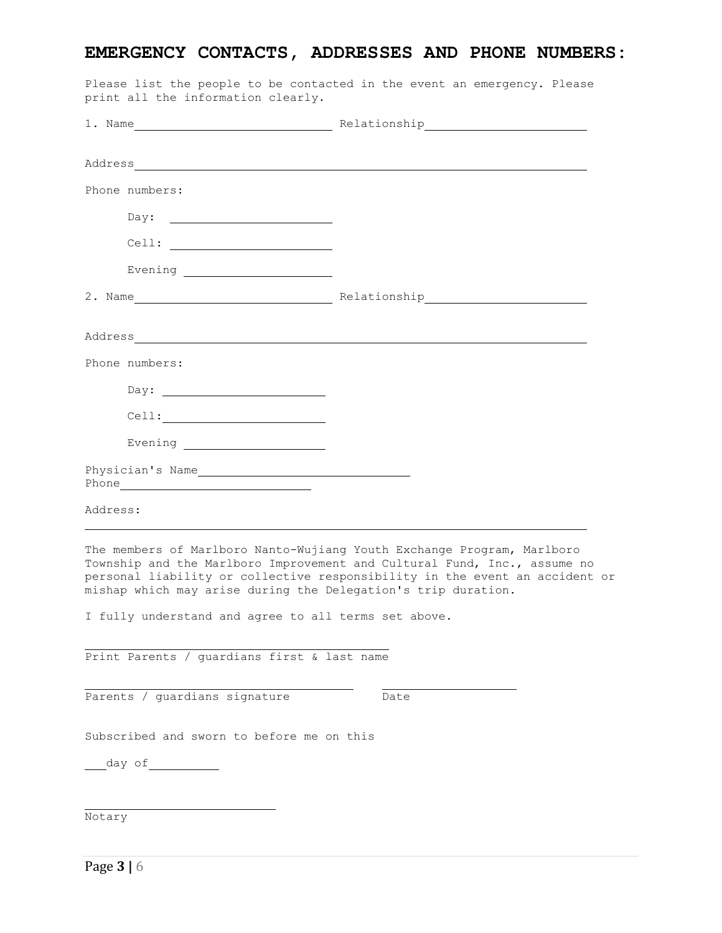# **EMERGENCY CONTACTS, ADDRESSES AND PHONE NUMBERS:**

|          |                                                                                                                                                                                                                                                                                                                                                                    | 1. Name Relationship Relationship                                                                                                                                                                                                 |
|----------|--------------------------------------------------------------------------------------------------------------------------------------------------------------------------------------------------------------------------------------------------------------------------------------------------------------------------------------------------------------------|-----------------------------------------------------------------------------------------------------------------------------------------------------------------------------------------------------------------------------------|
|          |                                                                                                                                                                                                                                                                                                                                                                    |                                                                                                                                                                                                                                   |
|          |                                                                                                                                                                                                                                                                                                                                                                    |                                                                                                                                                                                                                                   |
|          | Phone numbers:                                                                                                                                                                                                                                                                                                                                                     |                                                                                                                                                                                                                                   |
|          |                                                                                                                                                                                                                                                                                                                                                                    |                                                                                                                                                                                                                                   |
|          | $\begin{tabular}{c} \multicolumn{2}{c} {\textbf{Cell:}} \end{tabular}$                                                                                                                                                                                                                                                                                             |                                                                                                                                                                                                                                   |
|          |                                                                                                                                                                                                                                                                                                                                                                    |                                                                                                                                                                                                                                   |
|          |                                                                                                                                                                                                                                                                                                                                                                    |                                                                                                                                                                                                                                   |
|          |                                                                                                                                                                                                                                                                                                                                                                    |                                                                                                                                                                                                                                   |
|          | Phone numbers:                                                                                                                                                                                                                                                                                                                                                     |                                                                                                                                                                                                                                   |
|          | Day: $\overline{\qquad \qquad }$                                                                                                                                                                                                                                                                                                                                   |                                                                                                                                                                                                                                   |
|          | $\begin{picture}(100,10) \put(0,0){\vector(1,0){100}} \put(15,0){\vector(1,0){100}} \put(15,0){\vector(1,0){100}} \put(15,0){\vector(1,0){100}} \put(15,0){\vector(1,0){100}} \put(15,0){\vector(1,0){100}} \put(15,0){\vector(1,0){100}} \put(15,0){\vector(1,0){100}} \put(15,0){\vector(1,0){100}} \put(15,0){\vector(1,0){100}} \put(15,0){\vector(1,0){100}}$ |                                                                                                                                                                                                                                   |
|          |                                                                                                                                                                                                                                                                                                                                                                    |                                                                                                                                                                                                                                   |
|          | Physician's Name<br>Phone was a state of the state of the state of the state of the state of the state of the state of the state of the state of the state of the state of the state of the state of the state of the state of the state of the st                                                                                                                 |                                                                                                                                                                                                                                   |
| Address: |                                                                                                                                                                                                                                                                                                                                                                    |                                                                                                                                                                                                                                   |
|          | mishap which may arise during the Delegation's trip duration.<br>I fully understand and agree to all terms set above.                                                                                                                                                                                                                                              | The members of Marlboro Nanto-Wujiang Youth Exchange Program, Marlboro<br>Township and the Marlboro Improvement and Cultural Fund, Inc., assume no<br>personal liability or collective responsibility in the event an accident or |
|          | Print Parents / guardians first & last name                                                                                                                                                                                                                                                                                                                        |                                                                                                                                                                                                                                   |
|          | Parents / guardians signature                                                                                                                                                                                                                                                                                                                                      | Date                                                                                                                                                                                                                              |
|          | Subscribed and sworn to before me on this                                                                                                                                                                                                                                                                                                                          |                                                                                                                                                                                                                                   |
|          | _____ day of _______________                                                                                                                                                                                                                                                                                                                                       |                                                                                                                                                                                                                                   |
|          |                                                                                                                                                                                                                                                                                                                                                                    |                                                                                                                                                                                                                                   |
| Notary   |                                                                                                                                                                                                                                                                                                                                                                    |                                                                                                                                                                                                                                   |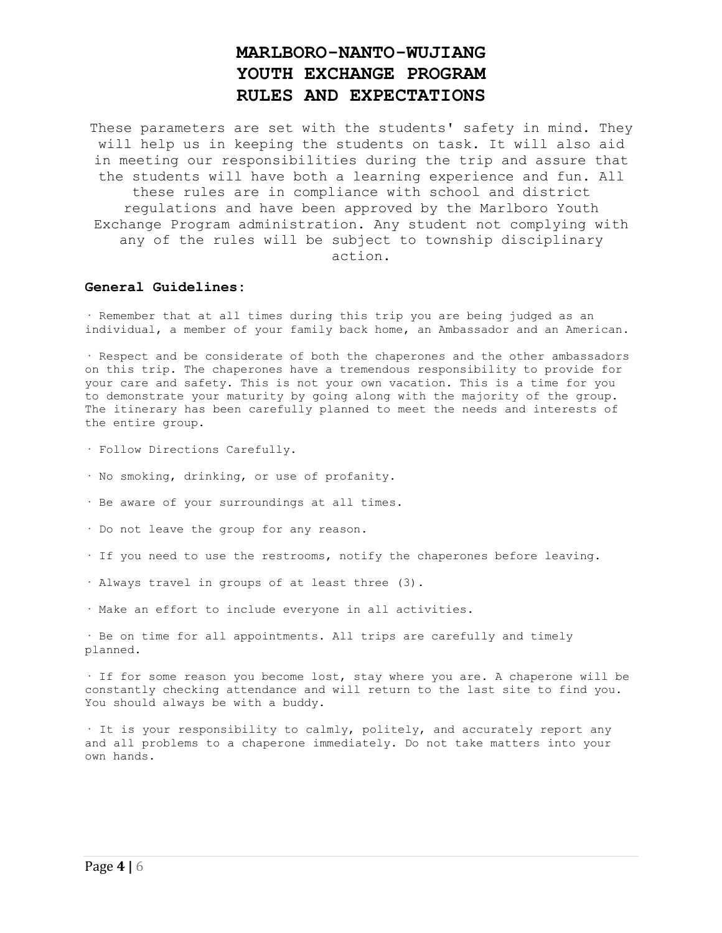# **MARLBORO-NANTO-WUJIANG YOUTH EXCHANGE PROGRAM RULES AND EXPECTATIONS**

These parameters are set with the students' safety in mind. They will help us in keeping the students on task. It will also aid in meeting our responsibilities during the trip and assure that the students will have both a learning experience and fun. All these rules are in compliance with school and district regulations and have been approved by the Marlboro Youth Exchange Program administration. Any student not complying with any of the rules will be subject to township disciplinary action.

### **General Guidelines:**

· Remember that at all times during this trip you are being judged as an individual, a member of your family back home, an Ambassador and an American.

· Respect and be considerate of both the chaperones and the other ambassadors on this trip. The chaperones have a tremendous responsibility to provide for your care and safety. This is not your own vacation. This is a time for you to demonstrate your maturity by going along with the majority of the group. The itinerary has been carefully planned to meet the needs and interests of the entire group.

- · Follow Directions Carefully.
- · No smoking, drinking, or use of profanity.
- · Be aware of your surroundings at all times.
- · Do not leave the group for any reason.
- · If you need to use the restrooms, notify the chaperones before leaving.
- · Always travel in groups of at least three (3).
- · Make an effort to include everyone in all activities.

· Be on time for all appointments. All trips are carefully and timely planned.

· If for some reason you become lost, stay where you are. A chaperone will be constantly checking attendance and will return to the last site to find you. You should always be with a buddy.

· It is your responsibility to calmly, politely, and accurately report any and all problems to a chaperone immediately. Do not take matters into your own hands.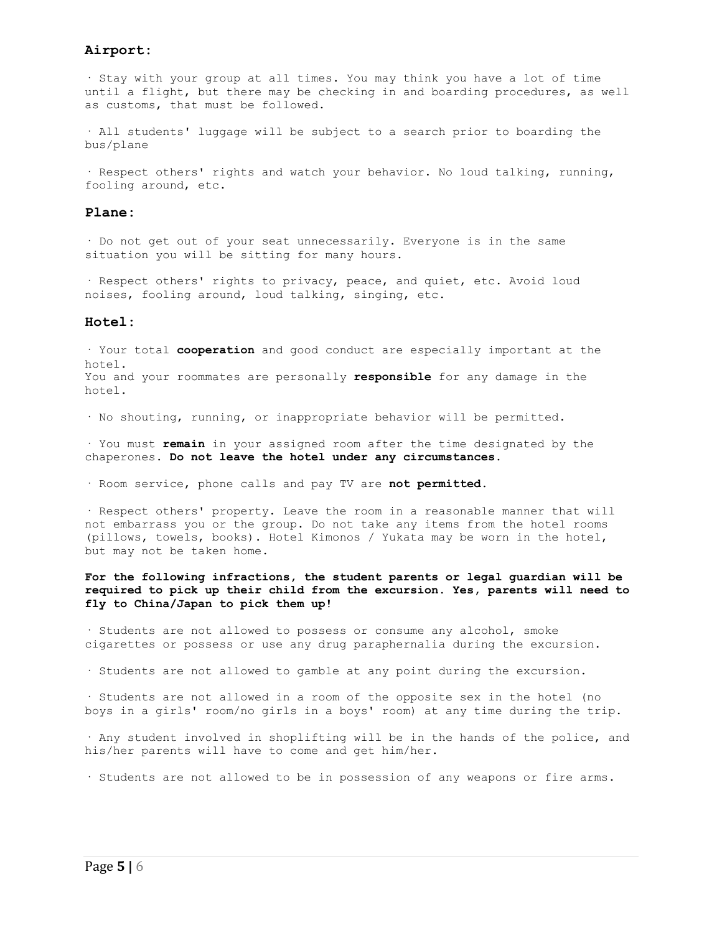## **Airport:**

· Stay with your group at all times. You may think you have a lot of time until a flight, but there may be checking in and boarding procedures, as well as customs, that must be followed.

· All students' luggage will be subject to a search prior to boarding the bus/plane

· Respect others' rights and watch your behavior. No loud talking, running, fooling around, etc.

### **Plane:**

· Do not get out of your seat unnecessarily. Everyone is in the same situation you will be sitting for many hours.

· Respect others' rights to privacy, peace, and quiet, etc. Avoid loud noises, fooling around, loud talking, singing, etc.

#### **Hotel:**

· Your total **cooperation** and good conduct are especially important at the hotel. You and your roommates are personally **responsible** for any damage in the hotel.

· No shouting, running, or inappropriate behavior will be permitted.

· You must **remain** in your assigned room after the time designated by the chaperones. **Do not leave the hotel under any circumstances.**

· Room service, phone calls and pay TV are **not permitted**.

· Respect others' property. Leave the room in a reasonable manner that will not embarrass you or the group. Do not take any items from the hotel rooms (pillows, towels, books). Hotel Kimonos / Yukata may be worn in the hotel, but may not be taken home.

### **For the following infractions, the student parents or legal guardian will be required to pick up their child from the excursion. Yes, parents will need to fly to China/Japan to pick them up!**

· Students are not allowed to possess or consume any alcohol, smoke cigarettes or possess or use any drug paraphernalia during the excursion.

· Students are not allowed to gamble at any point during the excursion.

· Students are not allowed in a room of the opposite sex in the hotel (no boys in a girls' room/no girls in a boys' room) at any time during the trip.

· Any student involved in shoplifting will be in the hands of the police, and his/her parents will have to come and get him/her.

· Students are not allowed to be in possession of any weapons or fire arms.